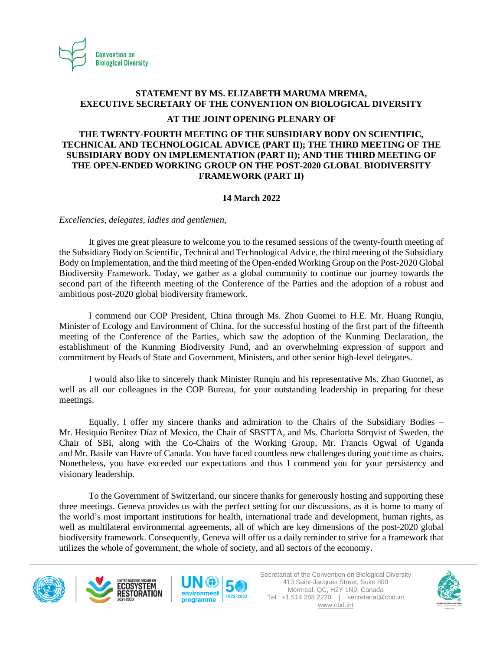

# **STATEMENT BY MS. ELIZABETH MARUMA MREMA, EXECUTIVE SECRETARY OF THE CONVENTION ON BIOLOGICAL DIVERSITY**

### **AT THE JOINT OPENING PLENARY OF**

## **THE TWENTY-FOURTH MEETING OF THE SUBSIDIARY BODY ON SCIENTIFIC, TECHNICAL AND TECHNOLOGICAL ADVICE (PART II); THE THIRD MEETING OF THE SUBSIDIARY BODY ON IMPLEMENTATION (PART II); AND THE THIRD MEETING OF THE OPEN-ENDED WORKING GROUP ON THE POST-2020 GLOBAL BIODIVERSITY FRAMEWORK (PART II)**

## **14 March 2022**

*Excellencies, delegates, ladies and gentlemen,*

It gives me great pleasure to welcome you to the resumed sessions of the twenty-fourth meeting of the Subsidiary Body on Scientific, Technical and Technological Advice, the third meeting of the Subsidiary Body on Implementation, and the third meeting of the Open-ended Working Group on the Post-2020 Global Biodiversity Framework. Today, we gather as a global community to continue our journey towards the second part of the fifteenth meeting of the Conference of the Parties and the adoption of a robust and ambitious post-2020 global biodiversity framework.

I commend our COP President, China through Ms. Zhou Guomei to H.E. Mr. Huang Runqiu*,*  Minister of Ecology and Environment of China, for the successful hosting of the first part of the fifteenth meeting of the Conference of the Parties, which saw the adoption of the Kunming Declaration, the establishment of the Kunming Biodiversity Fund, and an overwhelming expression of support and commitment by Heads of State and Government, Ministers, and other senior high-level delegates.

I would also like to sincerely thank Minister Runqiu and his representative Ms. Zhao Guomei, as well as all our colleagues in the COP Bureau, for your outstanding leadership in preparing for these meetings.

Equally, I offer my sincere thanks and admiration to the Chairs of the Subsidiary Bodies – Mr. Hesiquio Benítez Díaz of Mexico, the Chair of SBSTTA, and Ms. Charlotta Sörqvist of Sweden, the Chair of SBI, along with the Co-Chairs of the Working Group, Mr. Francis Ogwal of Uganda and Mr. Basile van Havre of Canada. You have faced countless new challenges during your time as chairs. Nonetheless, you have exceeded our expectations and thus I commend you for your persistency and visionary leadership.

To the Government of Switzerland, our sincere thanks for generously hosting and supporting these three meetings. Geneva provides us with the perfect setting for our discussions, as it is home to many of the world's most important institutions for health, international trade and development, human rights, as well as multilateral environmental agreements, all of which are key dimensions of the post-2020 global biodiversity framework. Consequently, Geneva will offer us a daily reminder to strive for a framework that utilizes the whole of government, the whole of society, and all sectors of the economy.







Secretariat of the Convention on Biological Diversity 413 Saint-Jacques Street, Suite 800 Montreal, QC, H2Y 1N9, Canada Tel : +1 514 288 2220 | secretariat@cbd.int [www.cbd.int](http://www.cbd.int/)

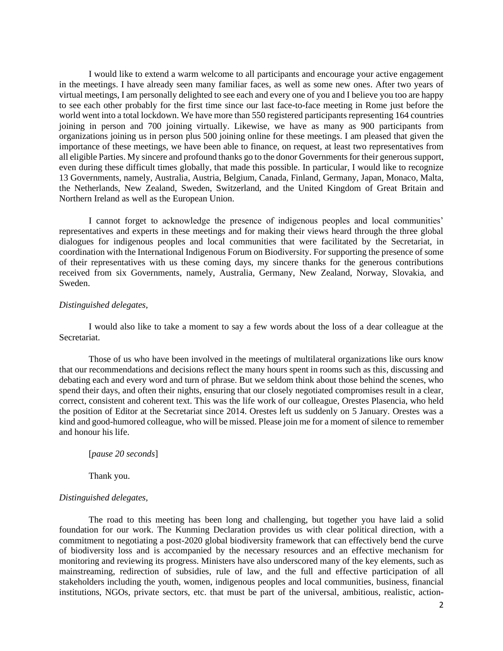I would like to extend a warm welcome to all participants and encourage your active engagement in the meetings. I have already seen many familiar faces, as well as some new ones. After two years of virtual meetings, I am personally delighted to see each and every one of you and I believe you too are happy to see each other probably for the first time since our last face-to-face meeting in Rome just before the world went into a total lockdown. We have more than 550 registered participants representing 164 countries joining in person and 700 joining virtually. Likewise, we have as many as 900 participants from organizations joining us in person plus 500 joining online for these meetings. I am pleased that given the importance of these meetings, we have been able to finance, on request, at least two representatives from all eligible Parties. My sincere and profound thanks go to the donor Governments for their generous support, even during these difficult times globally, that made this possible. In particular, I would like to recognize 13 Governments, namely, Australia, Austria, Belgium, Canada, Finland, Germany, Japan, Monaco, Malta, the Netherlands, New Zealand, Sweden, Switzerland, and the United Kingdom of Great Britain and Northern Ireland as well as the European Union.

I cannot forget to acknowledge the presence of indigenous peoples and local communities' representatives and experts in these meetings and for making their views heard through the three global dialogues for indigenous peoples and local communities that were facilitated by the Secretariat, in coordination with the International Indigenous Forum on Biodiversity. For supporting the presence of some of their representatives with us these coming days, my sincere thanks for the generous contributions received from six Governments, namely, Australia, Germany, New Zealand, Norway, Slovakia, and Sweden.

#### *Distinguished delegates,*

I would also like to take a moment to say a few words about the loss of a dear colleague at the Secretariat.

Those of us who have been involved in the meetings of multilateral organizations like ours know that our recommendations and decisions reflect the many hours spent in rooms such as this, discussing and debating each and every word and turn of phrase. But we seldom think about those behind the scenes, who spend their days, and often their nights, ensuring that our closely negotiated compromises result in a clear, correct, consistent and coherent text. This was the life work of our colleague, Orestes Plasencia, who held the position of Editor at the Secretariat since 2014. Orestes left us suddenly on 5 January. Orestes was a kind and good-humored colleague, who will be missed. Please join me for a moment of silence to remember and honour his life.

[*pause 20 seconds*]

Thank you.

#### *Distinguished delegates,*

The road to this meeting has been long and challenging, but together you have laid a solid foundation for our work. The Kunming Declaration provides us with clear political direction, with a commitment to negotiating a post-2020 global biodiversity framework that can effectively bend the curve of biodiversity loss and is accompanied by the necessary resources and an effective mechanism for monitoring and reviewing its progress. Ministers have also underscored many of the key elements, such as mainstreaming, redirection of subsidies, rule of law, and the full and effective participation of all stakeholders including the youth, women, indigenous peoples and local communities, business, financial institutions, NGOs, private sectors, etc. that must be part of the universal, ambitious, realistic, action